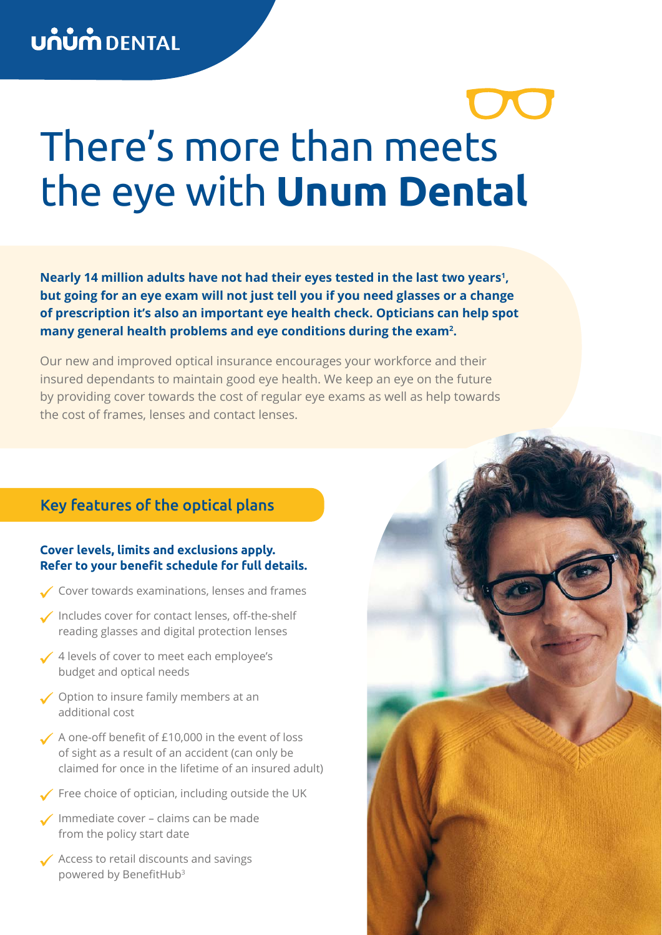# There's more than meets the eye with **Unum Dental**

Nearly 14 million adults have not had their eyes tested in the last two years<sup>1</sup>, **but going for an eye exam will not just tell you if you need glasses or a change of prescription it's also an important eye health check. Opticians can help spot many general health problems and eye conditions during the exam2 .**

Our new and improved optical insurance encourages your workforce and their insured dependants to maintain good eye health. We keep an eye on the future by providing cover towards the cost of regular eye exams as well as help towards the cost of frames, lenses and contact lenses.

### Key features of the optical plans

#### **Cover levels, limits and exclusions apply. Refer to your benefit schedule for full details.**

- Cover towards examinations, lenses and frames
- Includes cover for contact lenses, off-the-shelf reading glasses and digital protection lenses
- ✔ 4 levels of cover to meet each employee's budget and optical needs
- ◆ Option to insure family members at an additional cost
- A one-off benefit of £10,000 in the event of loss of sight as a result of an accident (can only be claimed for once in the lifetime of an insured adult)
- $\angle$  Free choice of optician, including outside the UK
- $\sqrt{}$  Immediate cover claims can be made from the policy start date
- Access to retail discounts and savings powered by BenefitHub<sup>3</sup>